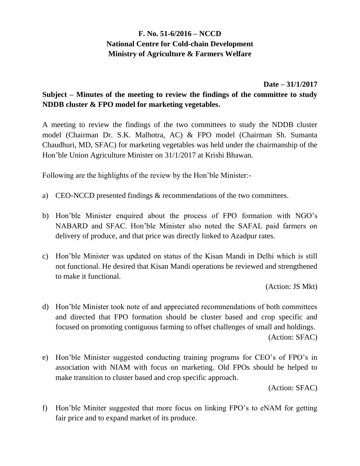## **F. No. 51-6/2016 – NCCD National Centre for Cold-chain Development Ministry of Agriculture & Farmers Welfare**

## **Date – 31/1/2017**

## **Subject – Minutes of the meeting to review the findings of the committee to study NDDB cluster & FPO model for marketing vegetables.**

A meeting to review the findings of the two committees to study the NDDB cluster model (Chairman Dr. S.K. Malhotra, AC) & FPO model (Chairman Sh. Sumanta Chaudhuri, MD, SFAC) for marketing vegetables was held under the chairmanship of the Hon'ble Union Agriculture Minister on 31/1/2017 at Krishi Bhawan.

Following are the highlights of the review by the Hon'ble Minister:-

- a) CEO-NCCD presented findings & recommendations of the two committees.
- b) Hon'ble Minister enquired about the process of FPO formation with NGO's NABARD and SFAC. Hon'ble Minister also noted the SAFAL paid farmers on delivery of produce, and that price was directly linked to Azadpur rates.
- c) Hon'ble Minister was updated on status of the Kisan Mandi in Delhi which is still not functional. He desired that Kisan Mandi operations be reviewed and strengthened to make it functional.

(Action: JS Mkt)

- d) Hon'ble Minister took note of and appreciated recommendations of both committees and directed that FPO formation should be cluster based and crop specific and focused on promoting contiguous farming to offset challenges of small and holdings. (Action: SFAC)
- e) Hon'ble Minister suggested conducting training programs for CEO's of FPO's in association with NIAM with focus on marketing. Old FPOs should be helped to make transition to cluster based and crop specific approach.

(Action: SFAC)

f) Hon'ble Miniter suggested that more focus on linking FPO's to eNAM for getting fair price and to expand market of its produce.